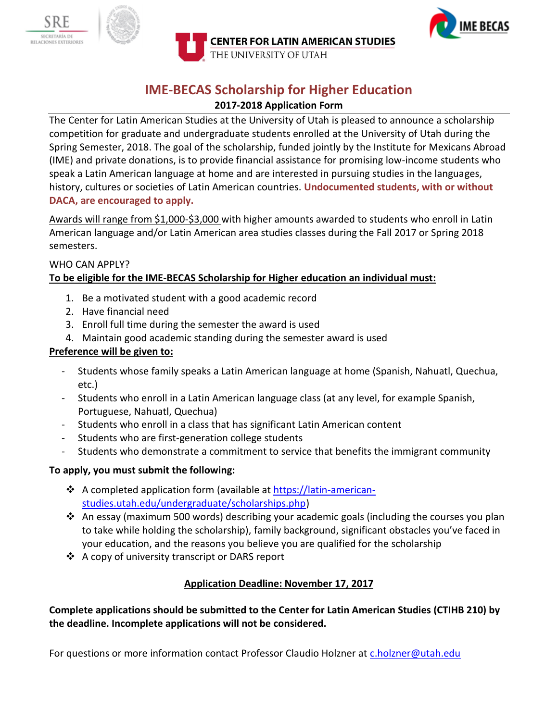





# **IME-BECAS Scholarship for Higher Education**

#### **2017-2018 Application Form**

The Center for Latin American Studies at the University of Utah is pleased to announce a scholarship competition for graduate and undergraduate students enrolled at the University of Utah during the Spring Semester, 2018. The goal of the scholarship, funded jointly by the Institute for Mexicans Abroad (IME) and private donations, is to provide financial assistance for promising low-income students who speak a Latin American language at home and are interested in pursuing studies in the languages, history, cultures or societies of Latin American countries. **Undocumented students, with or without DACA, are encouraged to apply.** 

Awards will range from \$1,000-\$3,000 with higher amounts awarded to students who enroll in Latin American language and/or Latin American area studies classes during the Fall 2017 or Spring 2018 semesters.

#### WHO CAN APPLY? **To be eligible for the IME-BECAS Scholarship for Higher education an individual must:**

- 1. Be a motivated student with a good academic record
- 2. Have financial need
- 3. Enroll full time during the semester the award is used
- 4. Maintain good academic standing during the semester award is used

#### **Preference will be given to:**

- Students whose family speaks a Latin American language at home (Spanish, Nahuatl, Quechua, etc.)
- Students who enroll in a Latin American language class (at any level, for example Spanish, Portuguese, Nahuatl, Quechua)
- Students who enroll in a class that has significant Latin American content
- Students who are first-generation college students
- Students who demonstrate a commitment to service that benefits the immigrant community

# **To apply, you must submit the following:**

- ❖ A completed application form (available at [https://latin-american](https://latin-american-studies.utah.edu/undergraduate/scholarships.php)[studies.utah.edu/undergraduate/scholarships.php\)](https://latin-american-studies.utah.edu/undergraduate/scholarships.php)
- An essay (maximum 500 words) describing your academic goals (including the courses you plan to take while holding the scholarship), family background, significant obstacles you've faced in your education, and the reasons you believe you are qualified for the scholarship
- ❖ A copy of university transcript or DARS report

# **Application Deadline: November 17, 2017**

**Complete applications should be submitted to the Center for Latin American Studies (CTIHB 210) by the deadline. Incomplete applications will not be considered.**

For questions or more information contact Professor Claudio Holzner at [c.holzner@utah.edu](mailto:c.holzner@utah.edu)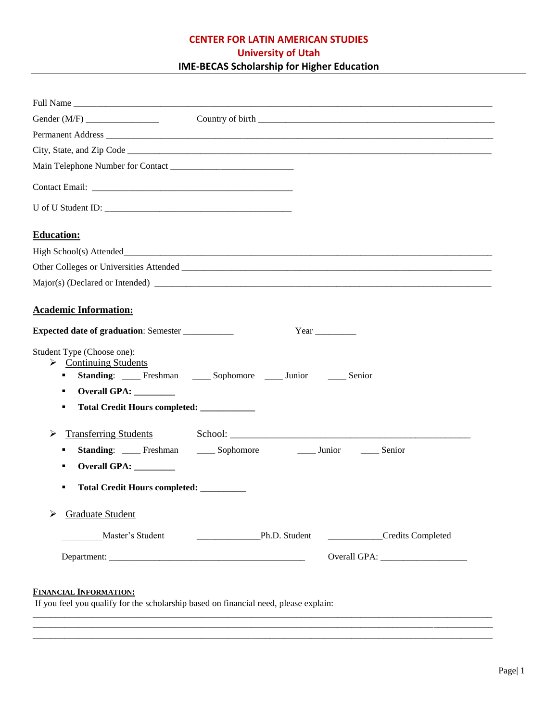# **CENTER FOR LATIN AMERICAN STUDIES University of Utah IME-BECAS Scholarship for Higher Education**

| <b>Education:</b>                                                                                                                                                                                                             |
|-------------------------------------------------------------------------------------------------------------------------------------------------------------------------------------------------------------------------------|
|                                                                                                                                                                                                                               |
|                                                                                                                                                                                                                               |
|                                                                                                                                                                                                                               |
| <b>Academic Information:</b>                                                                                                                                                                                                  |
| <b>Expected date of graduation: Semester ____________</b><br>Year                                                                                                                                                             |
| Student Type (Choose one):<br>$\triangleright$ Continuing Students<br>Standing: Freshman ______ Sophomore ______ Junior _______ Senior<br>٠<br>Overall GPA: _________<br>٠<br>Total Credit Hours completed: ____________<br>٠ |
| <b>Transferring Students</b><br>➤<br><b>Standing:</b> ____ Freshman ____ Sophomore<br>______ Junior ________ Senior<br>٠<br>Overall GPA: ________<br>٠<br>Total Credit Hours completed: ________<br>٠                         |
| <b>Graduate Student</b>                                                                                                                                                                                                       |
| Master's Student<br>Credits Completed                                                                                                                                                                                         |
|                                                                                                                                                                                                                               |
| <b>FINANCIAL INFORMATION:</b><br>If you feel you qualify for the scholarship based on financial need, please explain:                                                                                                         |

\_\_\_\_\_\_\_\_\_\_\_\_\_\_\_\_\_\_\_\_\_\_\_\_\_\_\_\_\_\_\_\_\_\_\_\_\_\_\_\_\_\_\_\_\_\_\_\_\_\_\_\_\_\_\_\_\_\_\_\_\_\_\_\_\_\_\_\_\_\_\_\_\_\_\_\_\_\_\_\_\_\_\_\_\_\_\_\_\_\_\_\_\_\_\_\_\_\_\_\_\_ \_\_\_\_\_\_\_\_\_\_\_\_\_\_\_\_\_\_\_\_\_\_\_\_\_\_\_\_\_\_\_\_\_\_\_\_\_\_\_\_\_\_\_\_\_\_\_\_\_\_\_\_\_\_\_\_\_\_\_\_\_\_\_\_\_\_\_\_\_\_\_\_\_\_\_\_\_\_\_\_\_\_\_\_\_\_\_\_\_\_\_\_\_\_\_\_\_\_\_\_\_